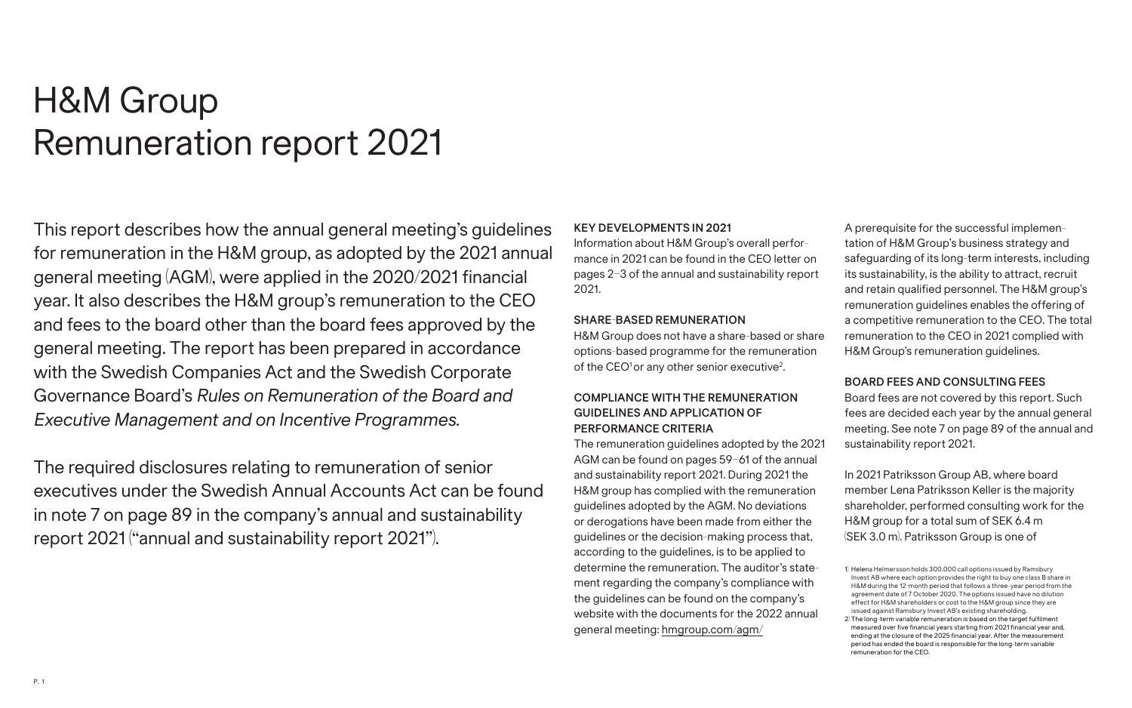# H&M Group Remuneration report 2021

This report describes how the annual general meeting's guidelines for remuneration in the H&M group, as adopted by the 2021 annual general meeting (AGM), were applied in the 2020/2021 financial year. It also describes the H&M group's remuneration to the CEO and fees to the board other than the board fees approved by the general meeting. The report has been prepared in accordance with the Swedish Companies Act and the Swedish Corporate Governance Board's *Rules on Remuneration of the Board and Executive Management and on Incentive Programmes*.

The required disclosures relating to remuneration of senior executives under the Swedish Annual Accounts Act can be found in note 7 on page 89 in the company's annual and sustainability report 2021 ("annual and sustainability report 2021").

#### **KEY DEVELOPMENTS IN 2021**

Information about H&M Group's overall performance in 2021 can be found in the CEO letter on pages 2–3 of the annual and sustainability report 2021.

#### **SHARE-BASED REMUNERATION**

H&M Group does not have a share-based or share options-based programme for the remuneration of the CEO<sup>1</sup> or any other senior executive<sup>2</sup>.

# **COMPLIANCE WITH THE REMUNERATION GUIDELINES AND APPLICATION OF PERFORMANCE CRITERIA**

The remuneration guidelines adopted by the 2021 AGM can be found on pages 59–61 of the annual and sustainability report 2021. During 2021 the H&M group has complied with the remuneration guidelines adopted by the AGM. No deviations or derogations have been made from either the guidelines or the decision-making process that, according to the guidelines, is to be applied to determine the remuneration. The auditor's statement regarding the company's compliance with the guidelines can be found on the company's website with the documents for the 2022 annual general meeting: [hmgroup.com/agm/](https://hmgroup.com/about-us/corporate-governance/agm/)

A prerequisite for the successful implementation of H&M Group's business strategy and safeguarding of its long-term interests, including its sustainability, is the ability to attract, recruit and retain qualified personnel. The H&M group's remuneration guidelines enables the offering of a competitive remuneration to the CEO. The total remuneration to the CEO in 2021 complied with H&M Group's remuneration guidelines.

## **BOARD FEES AND CONSULTING FEES**

Board fees are not covered by this report. Such fees are decided each year by the annual general meeting. See note 7 on page 89 of the annual and sustainability report 2021.

In 2021 Patriksson Group AB, where board member Lena Patriksson Keller is the majority shareholder, performed consulting work for the H&M group for a total sum of SEK 6.4 m (SEK 3.0 m). Patriksson Group is one of

<sup>1)</sup> Helena Helmersson holds 300,000 call options issued by Ramsbury Invest AB where each option provides the right to buy one class B share in H&M during the 12-month period that follows a three-year period from the agreement date of 7 October 2020. The options issued have no dilution effect for H&M shareholders or cost to the H&M group since they are issued against Ramsbury Invest AB's existing shareholding.

<sup>2)</sup> The long-term variable remuneration is based on the target fulfilment measured over five financial years starting from 2021 financial year and, ending at the closure of the 2025 financial year. After the measurement period has ended the board is responsible for the long-term variable remuneration for the CEO.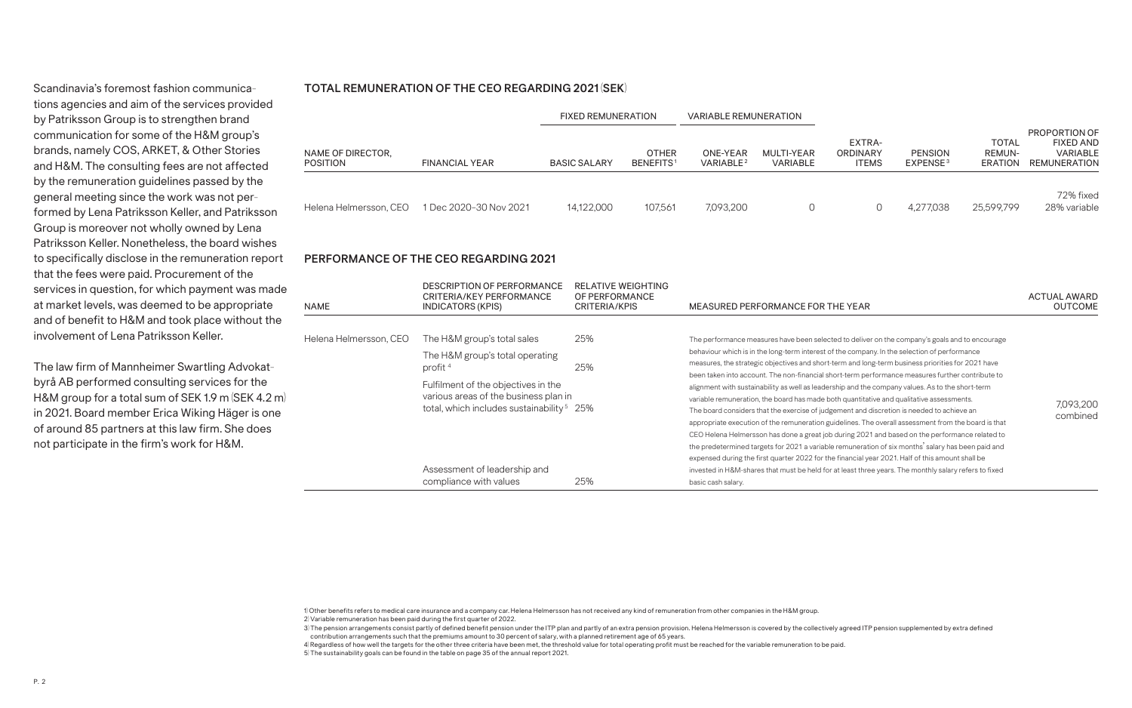Scandinavia's foremost fashion communications agencies and aim of the services provided by Patriksson Group is to strengthen brand communication for some of the H&M group's brands, namely COS, ARKET, & Other Stories and H&M. The consulting fees are not affected by the remuneration guidelines passed by the general meeting since the work was not performed by Lena Patriksson Keller, and Patriksson Group is moreover not wholly owned by Lena Patriksson Keller. Nonetheless, the board wishes to specifically disclose in the remuneration report that the fees were paid. Procurement of the services in question, for which payment was made at market levels, was deemed to be appropriate and of benefit to H&M and took place without the involvement of Lena Patriksson Keller.

The law firm of Mannheimer Swartling Advokatbyrå AB performed consulting services for the H&M group for a total sum of SEK 1.9 m (SEK 4.2 m) in 2021. Board member Erica Wiking Häger is one of around 85 partners at this law firm. She does not participate in the firm's work for H&M.

## **TOTAL REMUNERATION OF THE CEO REGARDING 2021 (SEK)**

|                                      |                                               | <b>FIXED REMUNERATION</b> |                                       | <b>VARIABLE REMUNERATION</b>      |                        |                                    |                                        |                                                 |                                                                      |
|--------------------------------------|-----------------------------------------------|---------------------------|---------------------------------------|-----------------------------------|------------------------|------------------------------------|----------------------------------------|-------------------------------------------------|----------------------------------------------------------------------|
| NAME OF DIRECTOR,<br><b>POSITION</b> | <b>FINANCIAL YEAR</b>                         | <b>BASIC SALARY</b>       | <b>OTHER</b><br>BENEFITS <sup>1</sup> | ONE-YEAR<br>VARIABLE <sup>2</sup> | MULTI-YEAR<br>VARIABLE | EXTRA-<br>ORDINARY<br><b>ITEMS</b> | <b>PENSION</b><br>EXPENSE <sup>3</sup> | <b>TOTAL</b><br><b>REMUN-</b><br><b>ERATION</b> | PROPORTION OF<br><b>FIXED AND</b><br>VARIABLE<br><b>REMUNERATION</b> |
|                                      | Helena Helmersson, CEO 1 Dec 2020-30 Nov 2021 | 14,122,000                | 107,561                               | 7,093,200                         | 0                      |                                    | 4,277,038                              | 25,599,799                                      | 72% fixed<br>28% variable                                            |

#### **PERFORMANCE OF THE CEO REGARDING 2021**

| <b>NAME</b>            | DESCRIPTION OF PERFORMANCE<br>CRITERIA/KEY PERFORMANCE<br>INDICATORS (KPIS)                                                                                                                                                                                                     | <b>RELATIVE WEIGHTING</b><br>OF PERFORMANCE<br>CRITERIA/KPIS | MEASURED PERFORMANCE FOR THE YEAR                                                                                                                                                                                                                                                                                                                                                                                                                                                                                                                                                                                                                                                                                                                                                                                                                                                                                                                                                                                                                                                                                                                                                                                                                      | ACTUAL AWARD<br><b>OUTCOME</b> |
|------------------------|---------------------------------------------------------------------------------------------------------------------------------------------------------------------------------------------------------------------------------------------------------------------------------|--------------------------------------------------------------|--------------------------------------------------------------------------------------------------------------------------------------------------------------------------------------------------------------------------------------------------------------------------------------------------------------------------------------------------------------------------------------------------------------------------------------------------------------------------------------------------------------------------------------------------------------------------------------------------------------------------------------------------------------------------------------------------------------------------------------------------------------------------------------------------------------------------------------------------------------------------------------------------------------------------------------------------------------------------------------------------------------------------------------------------------------------------------------------------------------------------------------------------------------------------------------------------------------------------------------------------------|--------------------------------|
| Helena Helmersson, CEO | The H&M group's total sales<br>The H&M group's total operating<br>profit $4$<br>Fulfilment of the objectives in the<br>various areas of the business plan in<br>total, which includes sustainability <sup>5</sup> 25%<br>Assessment of leadership and<br>compliance with values | 25%<br>25%<br>25%                                            | The performance measures have been selected to deliver on the company's goals and to encourage<br>behaviour which is in the long-term interest of the company. In the selection of performance<br>measures, the strategic objectives and short-term and long-term business priorities for 2021 have<br>been taken into account. The non-financial short-term performance measures further contribute to<br>alignment with sustainability as well as leadership and the company values. As to the short-term<br>variable remuneration, the board has made both quantitative and qualitative assessments.<br>The board considers that the exercise of judgement and discretion is needed to achieve an<br>appropriate execution of the remuneration guidelines. The overall assessment from the board is that<br>CEO Helena Helmersson has done a great job during 2021 and based on the performance related to<br>the predetermined targets for 2021 a variable remuneration of six months' salary has been paid and<br>expensed during the first quarter 2022 for the financial year 2021. Half of this amount shall be<br>invested in H&M-shares that must be held for at least three years. The monthly salary refers to fixed<br>basic cash salary. | 7,093,200<br>combined          |

1) Other benefits refers to medical care insurance and a company car. Helena Helmersson has not received any kind of remuneration from other companies in the H&M group. 2) Variable remuneration has been paid during the first quarter of 2022.

3) The pension arrangements consist partly of defined benefit pension under the ITP plan and partly of an extra pension provision. Helena Helmersson is covered by the collectively agreed ITP pension supplemented by extra d contribution arrangements such that the premiums amount to 30 percent of salary, with a planned retirement age of 65 years.

4) Regardless of how well the targets for the other three criteria have been met, the threshold value for total operating profit must be reached for the variable remuneration to be paid.

5) The sustainability goals can be found in the table on page 35 of the annual report 2021.